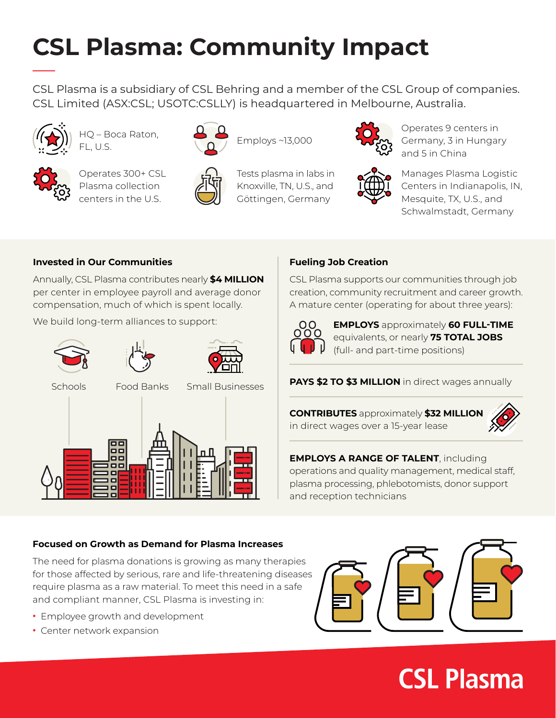# **CSL Plasma: Community Impact**

CSL Plasma is a subsidiary of CSL Behring and a member of the CSL Group of companies. CSL Limited (ASX:CSL; USOTC:CSLLY) is headquartered in Melbourne, Australia.

Employs ~13,000



HQ – Boca Raton, FL, U.S.

Plasma collection centers in the U.S.



Operates 300+ CSL



Tests plasma in labs in Knoxville, TN, U.S., and

Göttingen, Germany



Operates 9 centers in Germany, 3 in Hungary and 5 in China



Manages Plasma Logistic Centers in Indianapolis, IN, Mesquite, TX, U.S., and Schwalmstadt, Germany

### **Invested in Our Communities**

Annually, CSL Plasma contributes nearly **\$4 MILLION** per center in employee payroll and average donor compensation, much of which is spent locally.

We build long-term alliances to support:







Schools Food Banks Small Businesses



### **Fueling Job Creation**

CSL Plasma supports our communities through job creation, community recruitment and career growth. A mature center (operating for about three years):



**EMPLOYS** approximately **60 FULL-TIME** equivalents, or nearly **75 TOTAL JOBS** (full- and part-time positions)

**PAYS \$2 TO \$3 MILLION** in direct wages annually

**CONTRIBUTES** approximately **\$32 MILLION** in direct wages over a 15-year lease



**EMPLOYS A RANGE OF TALENT**, including operations and quality management, medical staff, plasma processing, phlebotomists, donor support and reception technicians

### **Focused on Growth as Demand for Plasma Increases**

The need for plasma donations is growing as many therapies for those affected by serious, rare and life-threatening diseases require plasma as a raw material. To meet this need in a safe and compliant manner, CSL Plasma is investing in:

- **•** Employee growth and development
- **•** Center network expansion



# **CSL Plasma**